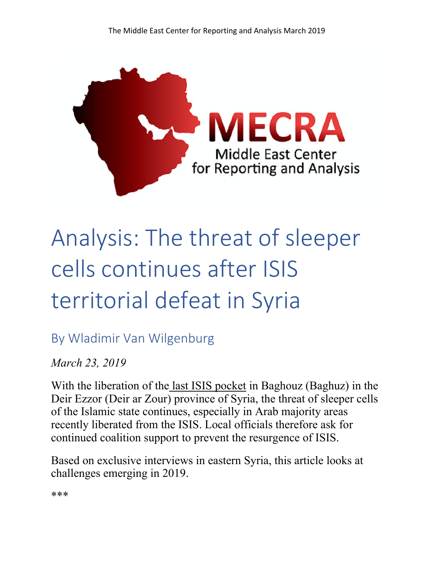

# Analysis: The threat of sleeper cells continues after ISIS territorial defeat in Syria

By Wladimir Van Wilgenburg

*March 23, 2019*

With the liberation of the last ISIS pocket in Baghouz (Baghuz) in the Deir Ezzor (Deir ar Zour) province of Syria, the threat of sleeper cells of the Islamic state continues, especially in Arab majority areas recently liberated from the ISIS. Local officials therefore ask for continued coalition support to prevent the resurgence of ISIS.

Based on exclusive interviews in eastern Syria, this article looks at challenges emerging in 2019.

\*\*\*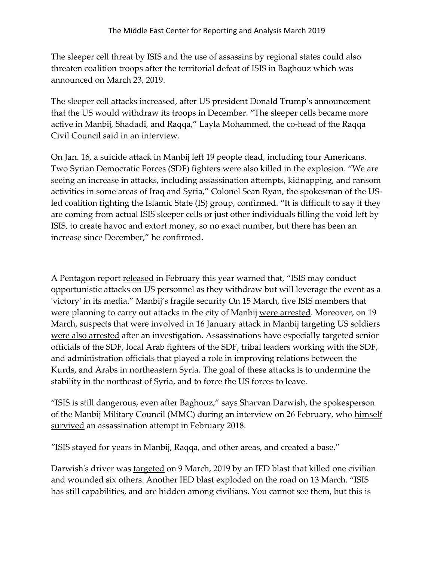The sleeper cell threat by ISIS and the use of assassins by regional states could also threaten coalition troops after the territorial defeat of ISIS in Baghouz which was announced on March 23, 2019.

The sleeper cell attacks increased, after US president Donald Trump's announcement that the US would withdraw its troops in December. "The sleeper cells became more active in Manbij, Shadadi, and Raqqa," Layla Mohammed, the co-head of the Raqqa Civil Council said in an interview.

On Jan. 16, a suicide attack in Manbij left 19 people dead, including four Americans. Two Syrian Democratic Forces (SDF) fighters were also killed in the explosion. "We are seeing an increase in attacks, including assassination attempts, kidnapping, and ransom activities in some areas of Iraq and Syria," Colonel Sean Ryan, the spokesman of the USled coalition fighting the Islamic State (IS) group, confirmed. "It is difficult to say if they are coming from actual ISIS sleeper cells or just other individuals filling the void left by ISIS, to create havoc and extort money, so no exact number, but there has been an increase since December," he confirmed.

A Pentagon report released in February this year warned that, "ISIS may conduct opportunistic attacks on US personnel as they withdraw but will leverage the event as a 'victory' in its media." Manbij's fragile security On 15 March, five ISIS members that were planning to carry out attacks in the city of Manbij were arrested. Moreover, on 19 March, suspects that were involved in 16 January attack in Manbij targeting US soldiers were also arrested after an investigation. Assassinations have especially targeted senior officials of the SDF, local Arab fighters of the SDF, tribal leaders working with the SDF, and administration officials that played a role in improving relations between the Kurds, and Arabs in northeastern Syria. The goal of these attacks is to undermine the stability in the northeast of Syria, and to force the US forces to leave.

"ISIS is still dangerous, even after Baghouz," says Sharvan Darwish, the spokesperson of the Manbij Military Council (MMC) during an interview on 26 February, who himself survived an assassination attempt in February 2018.

"ISIS stayed for years in Manbij, Raqqa, and other areas, and created a base."

Darwish's driver was targeted on 9 March, 2019 by an IED blast that killed one civilian and wounded six others. Another IED blast exploded on the road on 13 March. "ISIS has still capabilities, and are hidden among civilians. You cannot see them, but this is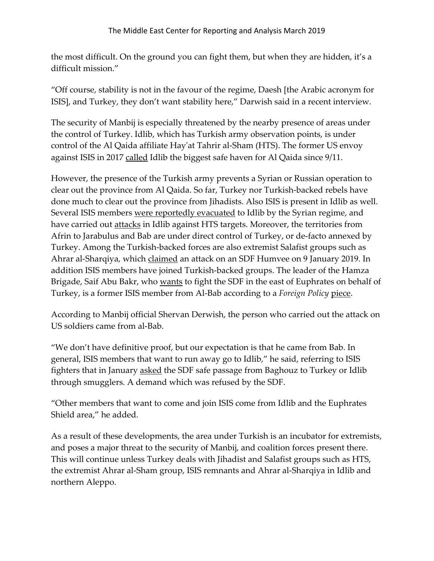the most difficult. On the ground you can fight them, but when they are hidden, it's a difficult mission."

"Off course, stability is not in the favour of the regime, Daesh [the Arabic acronym for ISIS], and Turkey, they don't want stability here," Darwish said in a recent interview.

The security of Manbij is especially threatened by the nearby presence of areas under the control of Turkey. Idlib, which has Turkish army observation points, is under control of the Al Qaida affiliate Hay'at Tahrir al-Sham (HTS). The former US envoy against ISIS in 2017 called Idlib the biggest safe haven for Al Qaida since 9/11.

However, the presence of the Turkish army prevents a Syrian or Russian operation to clear out the province from Al Qaida. So far, Turkey nor Turkish-backed rebels have done much to clear out the province from Jihadists. Also ISIS is present in Idlib as well. Several ISIS members were reportedly evacuated to Idlib by the Syrian regime, and have carried out attacks in Idlib against HTS targets. Moreover, the territories from Afrin to Jarabulus and Bab are under direct control of Turkey, or de-facto annexed by Turkey. Among the Turkish-backed forces are also extremist Salafist groups such as Ahrar al-Sharqiya, which claimed an attack on an SDF Humvee on 9 January 2019. In addition ISIS members have joined Turkish-backed groups. The leader of the Hamza Brigade, Saif Abu Bakr, who wants to fight the SDF in the east of Euphrates on behalf of Turkey, is a former ISIS member from Al-Bab according to a *Foreign Policy* piece.

According to Manbij official Shervan Derwish, the person who carried out the attack on US soldiers came from al-Bab.

"We don't have definitive proof, but our expectation is that he came from Bab. In general, ISIS members that want to run away go to Idlib," he said, referring to ISIS fighters that in January asked the SDF safe passage from Baghouz to Turkey or Idlib through smugglers. A demand which was refused by the SDF.

"Other members that want to come and join ISIS come from Idlib and the Euphrates Shield area," he added.

As a result of these developments, the area under Turkish is an incubator for extremists, and poses a major threat to the security of Manbij, and coalition forces present there. This will continue unless Turkey deals with Jihadist and Salafist groups such as HTS, the extremist Ahrar al-Sham group, ISIS remnants and Ahrar al-Sharqiya in Idlib and northern Aleppo.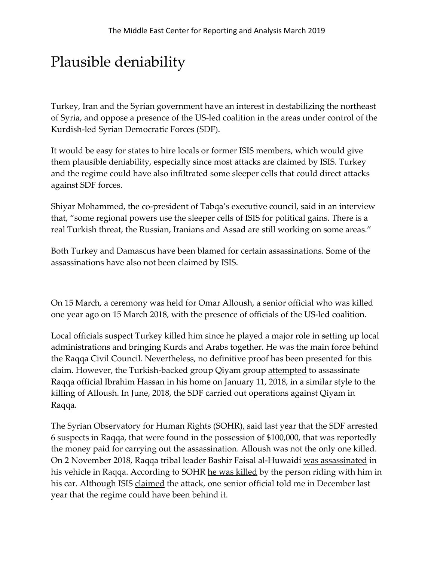### Plausible deniability

Turkey, Iran and the Syrian government have an interest in destabilizing the northeast of Syria, and oppose a presence of the US-led coalition in the areas under control of the Kurdish-led Syrian Democratic Forces (SDF).

It would be easy for states to hire locals or former ISIS members, which would give them plausible deniability, especially since most attacks are claimed by ISIS. Turkey and the regime could have also infiltrated some sleeper cells that could direct attacks against SDF forces.

Shiyar Mohammed, the co-president of Tabqa's executive council, said in an interview that, "some regional powers use the sleeper cells of ISIS for political gains. There is a real Turkish threat, the Russian, Iranians and Assad are still working on some areas."

Both Turkey and Damascus have been blamed for certain assassinations. Some of the assassinations have also not been claimed by ISIS.

On 15 March, a ceremony was held for Omar Alloush, a senior official who was killed one year ago on 15 March 2018, with the presence of officials of the US-led coalition.

Local officials suspect Turkey killed him since he played a major role in setting up local administrations and bringing Kurds and Arabs together. He was the main force behind the Raqqa Civil Council. Nevertheless, no definitive proof has been presented for this claim. However, the Turkish-backed group Qiyam group attempted to assassinate Raqqa official Ibrahim Hassan in his home on January 11, 2018, in a similar style to the killing of Alloush. In June, 2018, the SDF carried out operations against Qiyam in Raqqa.

The Syrian Observatory for Human Rights (SOHR), said last year that the SDF arrested 6 suspects in Raqqa, that were found in the possession of \$100,000, that was reportedly the money paid for carrying out the assassination. Alloush was not the only one killed. On 2 November 2018, Raqqa tribal leader Bashir Faisal al-Huwaidi was assassinated in his vehicle in Raqqa. According to SOHR he was killed by the person riding with him in his car. Although ISIS claimed the attack, one senior official told me in December last year that the regime could have been behind it.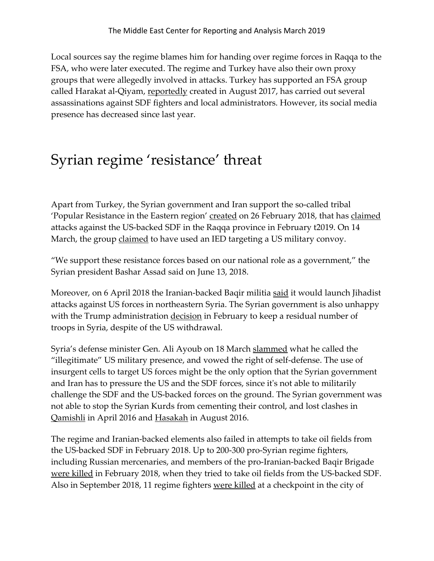Local sources say the regime blames him for handing over regime forces in Raqqa to the FSA, who were later executed. The regime and Turkey have also their own proxy groups that were allegedly involved in attacks. Turkey has supported an FSA group called Harakat al-Qiyam, reportedly created in August 2017, has carried out several assassinations against SDF fighters and local administrators. However, its social media presence has decreased since last year.

### Syrian regime 'resistance' threat

Apart from Turkey, the Syrian government and Iran support the so-called tribal 'Popular Resistance in the Eastern region' created on 26 February 2018, that has claimed attacks against the US-backed SDF in the Raqqa province in February t2019. On 14 March, the group claimed to have used an IED targeting a US military convoy.

"We support these resistance forces based on our national role as a government," the Syrian president Bashar Assad said on June 13, 2018.

Moreover, on 6 April 2018 the Iranian-backed Baqir militia said it would launch Jihadist attacks against US forces in northeastern Syria. The Syrian government is also unhappy with the Trump administration decision in February to keep a residual number of troops in Syria, despite of the US withdrawal.

Syria's defense minister Gen. Ali Ayoub on 18 March slammed what he called the "illegitimate" US military presence, and vowed the right of self-defense. The use of insurgent cells to target US forces might be the only option that the Syrian government and Iran has to pressure the US and the SDF forces, since it's not able to militarily challenge the SDF and the US-backed forces on the ground. The Syrian government was not able to stop the Syrian Kurds from cementing their control, and lost clashes in Qamishli in April 2016 and Hasakah in August 2016.

The regime and Iranian-backed elements also failed in attempts to take oil fields from the US-backed SDF in February 2018. Up to 200-300 pro-Syrian regime fighters, including Russian mercenaries, and members of the pro-Iranian-backed Baqir Brigade were killed in February 2018, when they tried to take oil fields from the US-backed SDF. Also in September 2018, 11 regime fighters were killed at a checkpoint in the city of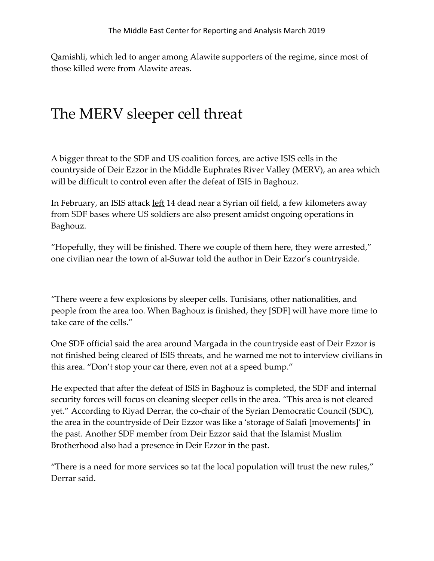Qamishli, which led to anger among Alawite supporters of the regime, since most of those killed were from Alawite areas.

### The MERV sleeper cell threat

A bigger threat to the SDF and US coalition forces, are active ISIS cells in the countryside of Deir Ezzor in the Middle Euphrates River Valley (MERV), an area which will be difficult to control even after the defeat of ISIS in Baghouz.

In February, an ISIS attack *left* 14 dead near a Syrian oil field, a few kilometers away from SDF bases where US soldiers are also present amidst ongoing operations in Baghouz.

"Hopefully, they will be finished. There we couple of them here, they were arrested," one civilian near the town of al-Suwar told the author in Deir Ezzor's countryside.

"There weere a few explosions by sleeper cells. Tunisians, other nationalities, and people from the area too. When Baghouz is finished, they [SDF] will have more time to take care of the cells."

One SDF official said the area around Margada in the countryside east of Deir Ezzor is not finished being cleared of ISIS threats, and he warned me not to interview civilians in this area. "Don't stop your car there, even not at a speed bump."

He expected that after the defeat of ISIS in Baghouz is completed, the SDF and internal security forces will focus on cleaning sleeper cells in the area. "This area is not cleared yet." According to Riyad Derrar, the co-chair of the Syrian Democratic Council (SDC), the area in the countryside of Deir Ezzor was like a 'storage of Salafi [movements]' in the past. Another SDF member from Deir Ezzor said that the Islamist Muslim Brotherhood also had a presence in Deir Ezzor in the past.

"There is a need for more services so tat the local population will trust the new rules," Derrar said.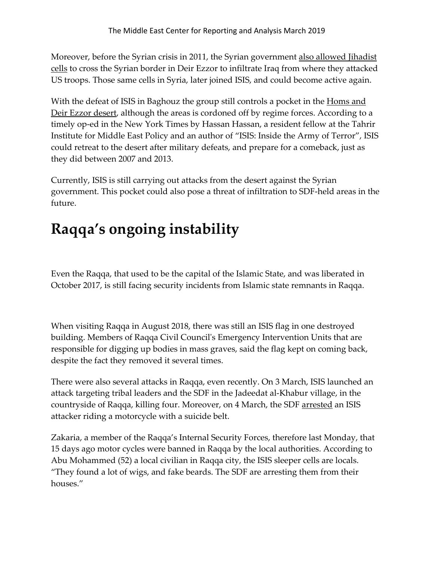Moreover, before the Syrian crisis in 2011, the Syrian government also allowed Jihadist cells to cross the Syrian border in Deir Ezzor to infiltrate Iraq from where they attacked US troops. Those same cells in Syria, later joined ISIS, and could become active again.

With the defeat of ISIS in Baghouz the group still controls a pocket in the Homs and Deir Ezzor desert, although the areas is cordoned off by regime forces. According to a timely op-ed in the New York Times by Hassan Hassan, a resident fellow at the Tahrir Institute for Middle East Policy and an author of "ISIS: Inside the Army of Terror", ISIS could retreat to the desert after military defeats, and prepare for a comeback, just as they did between 2007 and 2013.

Currently, ISIS is still carrying out attacks from the desert against the Syrian government. This pocket could also pose a threat of infiltration to SDF-held areas in the future.

## **Raqqa's ongoing instability**

Even the Raqqa, that used to be the capital of the Islamic State, and was liberated in October 2017, is still facing security incidents from Islamic state remnants in Raqqa.

When visiting Raqqa in August 2018, there was still an ISIS flag in one destroyed building. Members of Raqqa Civil Council's Emergency Intervention Units that are responsible for digging up bodies in mass graves, said the flag kept on coming back, despite the fact they removed it several times.

There were also several attacks in Raqqa, even recently. On 3 March, ISIS launched an attack targeting tribal leaders and the SDF in the Jadeedat al-Khabur village, in the countryside of Raqqa, killing four. Moreover, on 4 March, the SDF arrested an ISIS attacker riding a motorcycle with a suicide belt.

Zakaria, a member of the Raqqa's Internal Security Forces, therefore last Monday, that 15 days ago motor cycles were banned in Raqqa by the local authorities. According to Abu Mohammed (52) a local civilian in Raqqa city, the ISIS sleeper cells are locals. "They found a lot of wigs, and fake beards. The SDF are arresting them from their houses."